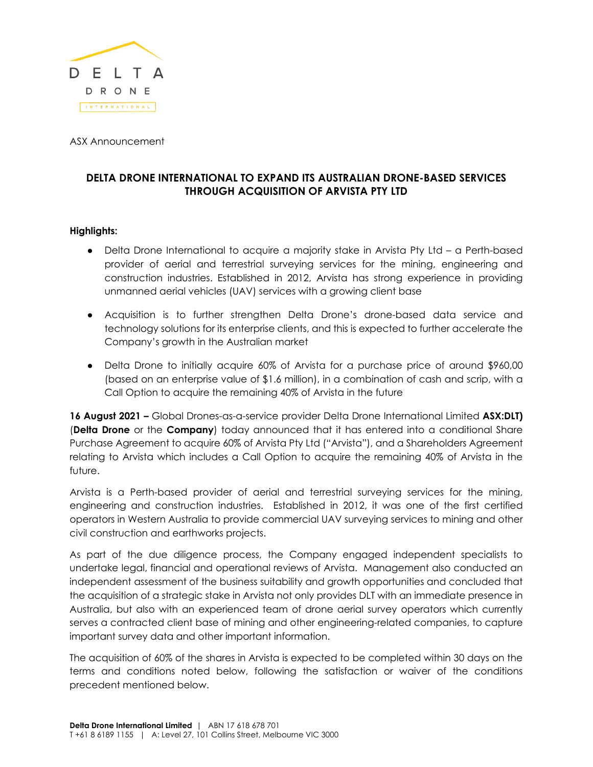

ASX Announcement

# **DELTA DRONE INTERNATIONAL TO EXPAND ITS AUSTRALIAN DRONE-BASED SERVICES THROUGH ACQUISITION OF ARVISTA PTY LTD**

# **Highlights:**

- Delta Drone International to acquire a majority stake in Arvista Pty Ltd a Perth-based provider of aerial and terrestrial surveying services for the mining, engineering and construction industries. Established in 2012, Arvista has strong experience in providing unmanned aerial vehicles (UAV) services with a growing client base
- Acquisition is to further strengthen Delta Drone's drone-based data service and technology solutions for its enterprise clients, and this is expected to further accelerate the Company's growth in the Australian market
- Delta Drone to initially acquire 60% of Arvista for a purchase price of around \$960,00 (based on an enterprise value of \$1.6 million), in a combination of cash and scrip, with a Call Option to acquire the remaining 40% of Arvista in the future

**16 August 2021 –** Global Drones-as-a-service provider Delta Drone International Limited **ASX:DLT)** (**Delta Drone** or the **Company**) today announced that it has entered into a conditional Share Purchase Agreement to acquire 60% of Arvista Pty Ltd ("Arvista"), and a Shareholders Agreement relating to Arvista which includes a Call Option to acquire the remaining 40% of Arvista in the future.

Arvista is a Perth-based provider of aerial and terrestrial surveying services for the mining, engineering and construction industries. Established in 2012, it was one of the first certified operators in Western Australia to provide commercial UAV surveying services to mining and other civil construction and earthworks projects.

As part of the due diligence process, the Company engaged independent specialists to undertake legal, financial and operational reviews of Arvista. Management also conducted an independent assessment of the business suitability and growth opportunities and concluded that the acquisition of a strategic stake in Arvista not only provides DLT with an immediate presence in Australia, but also with an experienced team of drone aerial survey operators which currently serves a contracted client base of mining and other engineering-related companies, to capture important survey data and other important information.

The acquisition of 60% of the shares in Arvista is expected to be completed within 30 days on the terms and conditions noted below, following the satisfaction or waiver of the conditions precedent mentioned below.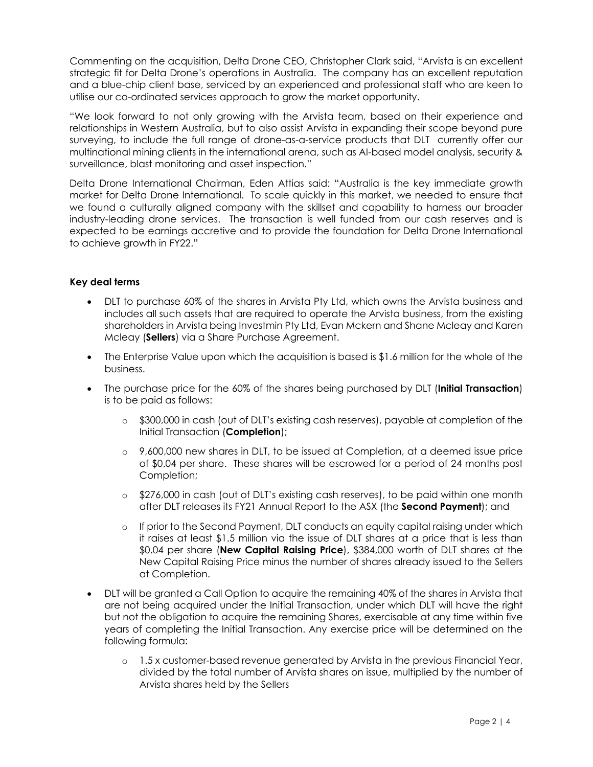Commenting on the acquisition, Delta Drone CEO, Christopher Clark said, "Arvista is an excellent strategic fit for Delta Drone's operations in Australia. The company has an excellent reputation and a blue-chip client base, serviced by an experienced and professional staff who are keen to utilise our co-ordinated services approach to grow the market opportunity.

"We look forward to not only growing with the Arvista team, based on their experience and relationships in Western Australia, but to also assist Arvista in expanding their scope beyond pure surveying, to include the full range of drone-as-a-service products that DLT currently offer our multinational mining clients in the international arena, such as AI-based model analysis, security & surveillance, blast monitoring and asset inspection."

Delta Drone International Chairman, Eden Attias said: "Australia is the key immediate growth market for Delta Drone International. To scale quickly in this market, we needed to ensure that we found a culturally aligned company with the skillset and capability to harness our broader industry-leading drone services. The transaction is well funded from our cash reserves and is expected to be earnings accretive and to provide the foundation for Delta Drone International to achieve growth in FY22."

# **Key deal terms**

- DLT to purchase 60% of the shares in Arvista Pty Ltd, which owns the Arvista business and includes all such assets that are required to operate the Arvista business, from the existing shareholders in Arvista being Investmin Pty Ltd, Evan Mckern and Shane Mcleay and Karen Mcleay (**Sellers**) via a Share Purchase Agreement.
- The Enterprise Value upon which the acquisition is based is \$1.6 million for the whole of the business.
- The purchase price for the 60% of the shares being purchased by DLT (**Initial Transaction**) is to be paid as follows:
	- o \$300,000 in cash (out of DLT's existing cash reserves), payable at completion of the Initial Transaction (**Completion**);
	- o 9,600,000 new shares in DLT, to be issued at Completion, at a deemed issue price of \$0.04 per share. These shares will be escrowed for a period of 24 months post Completion;
	- o \$276,000 in cash (out of DLT's existing cash reserves), to be paid within one month after DLT releases its FY21 Annual Report to the ASX (the **Second Payment**); and
	- o If prior to the Second Payment, DLT conducts an equity capital raising under which it raises at least \$1.5 million via the issue of DLT shares at a price that is less than \$0.04 per share (**New Capital Raising Price**), \$384,000 worth of DLT shares at the New Capital Raising Price minus the number of shares already issued to the Sellers at Completion.
- DLT will be granted a Call Option to acquire the remaining 40% of the shares in Arvista that are not being acquired under the Initial Transaction, under which DLT will have the right but not the obligation to acquire the remaining Shares, exercisable at any time within five years of completing the Initial Transaction. Any exercise price will be determined on the following formula:
	- o 1.5 x customer-based revenue generated by Arvista in the previous Financial Year, divided by the total number of Arvista shares on issue, multiplied by the number of Arvista shares held by the Sellers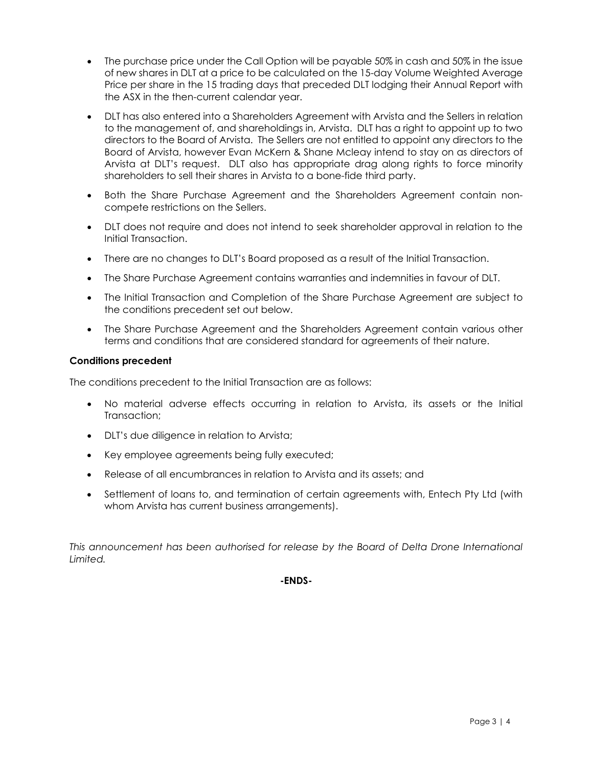- The purchase price under the Call Option will be payable 50% in cash and 50% in the issue of new shares in DLT at a price to be calculated on the 15-day Volume Weighted Average Price per share in the 15 trading days that preceded DLT lodging their Annual Report with the ASX in the then-current calendar year.
- DLT has also entered into a Shareholders Agreement with Arvista and the Sellers in relation to the management of, and shareholdings in, Arvista. DLT has a right to appoint up to two directors to the Board of Arvista. The Sellers are not entitled to appoint any directors to the Board of Arvista, however Evan McKern & Shane Mcleay intend to stay on as directors of Arvista at DLT's request. DLT also has appropriate drag along rights to force minority shareholders to sell their shares in Arvista to a bone-fide third party.
- Both the Share Purchase Agreement and the Shareholders Agreement contain noncompete restrictions on the Sellers.
- DLT does not require and does not intend to seek shareholder approval in relation to the Initial Transaction.
- There are no changes to DLT's Board proposed as a result of the Initial Transaction.
- The Share Purchase Agreement contains warranties and indemnities in favour of DLT.
- The Initial Transaction and Completion of the Share Purchase Agreement are subject to the conditions precedent set out below.
- The Share Purchase Agreement and the Shareholders Agreement contain various other terms and conditions that are considered standard for agreements of their nature.

#### **Conditions precedent**

The conditions precedent to the Initial Transaction are as follows:

- No material adverse effects occurring in relation to Arvista, its assets or the Initial Transaction;
- DLT's due diligence in relation to Arvista;
- Key employee agreements being fully executed;
- Release of all encumbrances in relation to Arvista and its assets; and
- Settlement of loans to, and termination of certain agreements with, Entech Pty Ltd (with whom Arvista has current business arrangements).

*This announcement has been authorised for release by the Board of Delta Drone International Limited.*

## **-ENDS-**